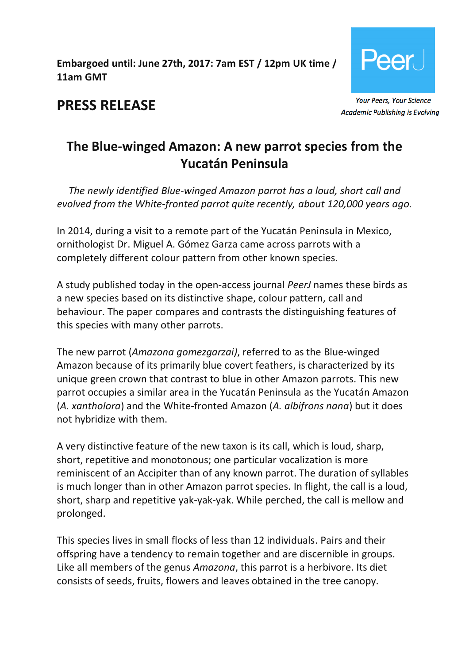**Embargoed until: June 27th, 2017: 7am EST / 12pm UK time / 11am GMT**



**PRESS RELEASE**

**Academic Publishing is Evolving** 

# **The Blue-winged Amazon: A new parrot species from the Yucatán Peninsula**

*The newly identified Blue-winged Amazon parrot has a loud, short call and evolved from the White-fronted parrot quite recently, about 120,000 years ago.*

In 2014, during a visit to a remote part of the Yucatán Peninsula in Mexico, ornithologist Dr. Miguel A. Gómez Garza came across parrots with a completely different colour pattern from other known species.

A study published today in the open-access journal *PeerJ* names these birds as a new species based on its distinctive shape, colour pattern, call and behaviour. The paper compares and contrasts the distinguishing features of this species with many other parrots.

The new parrot (*Amazona gomezgarzai)*, referred to as the Blue-winged Amazon because of its primarily blue covert feathers, is characterized by its unique green crown that contrast to blue in other Amazon parrots. This new parrot occupies a similar area in the Yucatán Peninsula as the Yucatán Amazon (*A. xantholora*) and the White-fronted Amazon (*A. albifrons nana*) but it does not hybridize with them.

A very distinctive feature of the new taxon is its call, which is loud, sharp, short, repetitive and monotonous; one particular vocalization is more reminiscent of an Accipiter than of any known parrot. The duration of syllables is much longer than in other Amazon parrot species. In flight, the call is a loud, short, sharp and repetitive yak-yak-yak. While perched, the call is mellow and prolonged.

This species lives in small flocks of less than 12 individuals. Pairs and their offspring have a tendency to remain together and are discernible in groups. Like all members of the genus *Amazona*, this parrot is a herbivore. Its diet consists of seeds, fruits, flowers and leaves obtained in the tree canopy.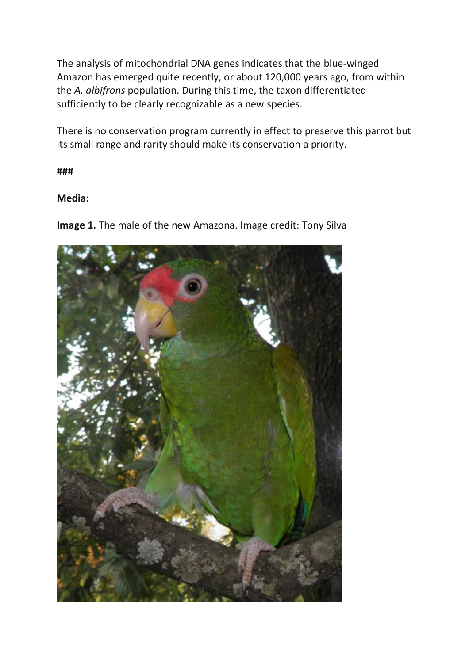The analysis of mitochondrial DNA genes indicates that the blue-winged Amazon has emerged quite recently, or about 120,000 years ago, from within the *A. albifrons* population. During this time, the taxon differentiated sufficiently to be clearly recognizable as a new species.

There is no conservation program currently in effect to preserve this parrot but its small range and rarity should make its conservation a priority.

**###**

### **Media:**

**Image 1.** The male of the new Amazona. Image credit: Tony Silva

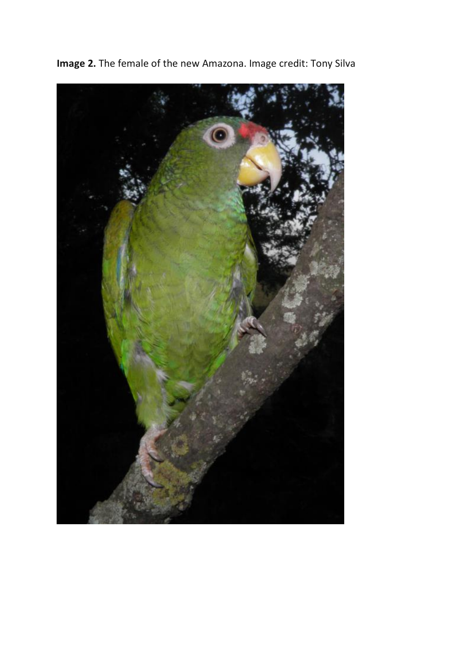

**Image 2.** The female of the new Amazona. Image credit: Tony Silva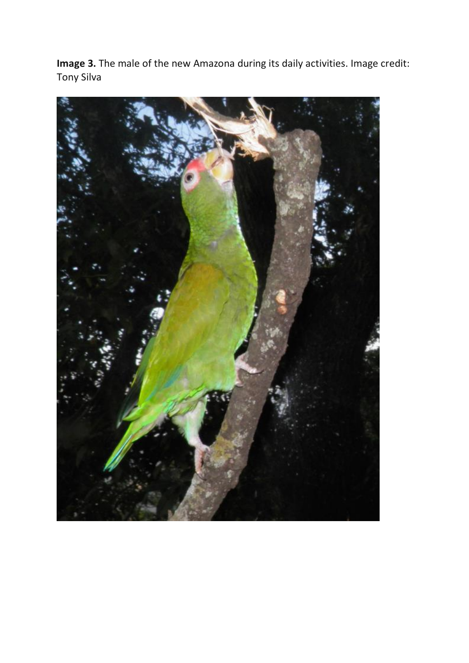**Image 3.** The male of the new Amazona during its daily activities. Image credit: Tony Silva

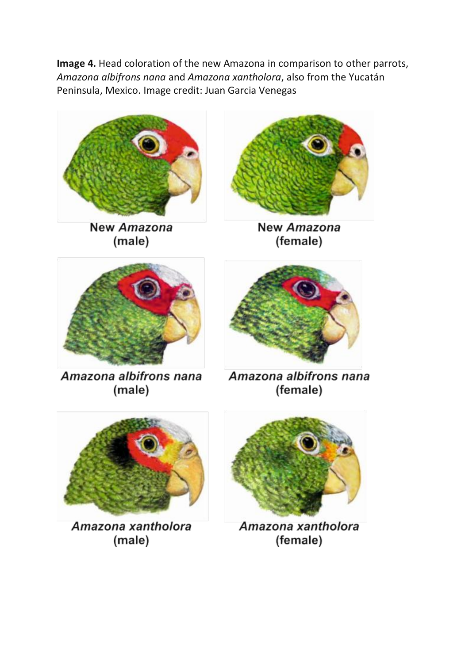**Image 4.** Head coloration of the new Amazona in comparison to other parrots, *Amazona albifrons nana* and *Amazona xantholora*, also from the Yucatán Peninsula, Mexico. Image credit: Juan Garcia Venegas



New Amazona (male)



**New Amazona** (female)



Amazona albifrons nana (male)

Amazona albifrons nana (female)



Amazona xantholora (male)



Amazona xantholora (female)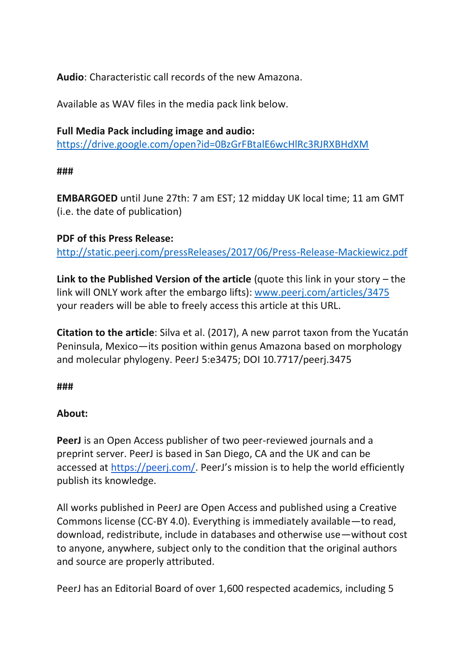**Audio**: Characteristic call records of the new Amazona.

Available as WAV files in the media pack link below.

## **Full Media Pack including image and audio:**  <https://drive.google.com/open?id=0BzGrFBtalE6wcHlRc3RJRXBHdXM>

### **###**

**EMBARGOED** until June 27th: 7 am EST; 12 midday UK local time; 11 am GMT (i.e. the date of publication)

### **PDF of this Press Release:**

<http://static.peerj.com/pressReleases/2017/06/Press-Release-Mackiewicz.pdf>

**Link to the Published Version of the article** (quote this link in your story – the link will ONLY work after the embargo lifts): [www.peerj.com/articles/3475](http://www.peerj.com/articles/3475) your readers will be able to freely access this article at this URL.

**Citation to the article**: Silva et al. (2017), A new parrot taxon from the Yucatán Peninsula, Mexico—its position within genus Amazona based on morphology and molecular phylogeny. PeerJ 5:e3475; DOI 10.7717/peerj.3475

**###**

### **About:**

**PeerJ** is an Open Access publisher of two peer-reviewed journals and a preprint server. PeerJ is based in San Diego, CA and the UK and can be accessed at <https://peerj.com/>. PeerJ's mission is to help the world efficiently publish its knowledge.

All works published in PeerJ are Open Access and published using a Creative Commons license (CC-BY 4.0). Everything is immediately available—to read, download, redistribute, include in databases and otherwise use—without cost to anyone, anywhere, subject only to the condition that the original authors and source are properly attributed.

PeerJ has an Editorial Board of over 1,600 respected academics, including 5